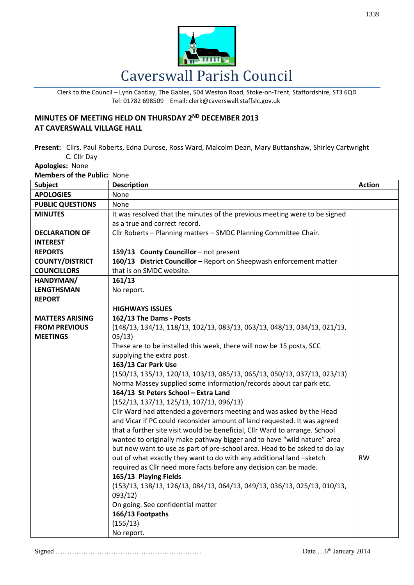

Clerk to the Council – Lynn Cantlay, The Gables, 504 Weston Road, Stoke-on-Trent, Staffordshire, ST3 6QD Tel: 01782 698509 Email: clerk@caverswall.staffslc.gov.uk

## **MINUTES OF MEETING HELD ON THURSDAY 2<sup>ND</sup> DECEMBER 2013 AT CAVERSWALL VILLAGE HALL**

**Present:** Cllrs. Paul Roberts, Edna Durose, Ross Ward, Malcolm Dean, Mary Buttanshaw, Shirley Cartwright C. Cllr Day

## **Apologies:** None

**Members of the Public:** None

| Subject                 | <b>Description</b>                                                          | <b>Action</b> |
|-------------------------|-----------------------------------------------------------------------------|---------------|
| <b>APOLOGIES</b>        | None                                                                        |               |
| <b>PUBLIC QUESTIONS</b> | None                                                                        |               |
| <b>MINUTES</b>          | It was resolved that the minutes of the previous meeting were to be signed  |               |
|                         | as a true and correct record.                                               |               |
| <b>DECLARATION OF</b>   | Cllr Roberts - Planning matters - SMDC Planning Committee Chair.            |               |
| <b>INTEREST</b>         |                                                                             |               |
| <b>REPORTS</b>          | 159/13 County Councillor - not present                                      |               |
| <b>COUNTY/DISTRICT</b>  | 160/13 District Councillor - Report on Sheepwash enforcement matter         |               |
| <b>COUNCILLORS</b>      | that is on SMDC website.                                                    |               |
| HANDYMAN/               | 161/13                                                                      |               |
| <b>LENGTHSMAN</b>       | No report.                                                                  |               |
| <b>REPORT</b>           |                                                                             |               |
|                         | <b>HIGHWAYS ISSUES</b>                                                      |               |
| <b>MATTERS ARISING</b>  | 162/13 The Dams - Posts                                                     |               |
| <b>FROM PREVIOUS</b>    | (148/13, 134/13, 118/13, 102/13, 083/13, 063/13, 048/13, 034/13, 021/13,    |               |
| <b>MEETINGS</b>         | 05/13)                                                                      |               |
|                         | These are to be installed this week, there will now be 15 posts, SCC        |               |
|                         | supplying the extra post.                                                   |               |
|                         | 163/13 Car Park Use                                                         |               |
|                         | (150/13, 135/13, 120/13, 103/13, 085/13, 065/13, 050/13, 037/13, 023/13)    |               |
|                         | Norma Massey supplied some information/records about car park etc.          |               |
|                         | 164/13 St Peters School - Extra Land                                        |               |
|                         | (152/13, 137/13, 125/13, 107/13, 096/13)                                    |               |
|                         | Cllr Ward had attended a governors meeting and was asked by the Head        |               |
|                         | and Vicar if PC could reconsider amount of land requested. It was agreed    |               |
|                         | that a further site visit would be beneficial, Cllr Ward to arrange. School |               |
|                         | wanted to originally make pathway bigger and to have "wild nature" area     |               |
|                         | but now want to use as part of pre-school area. Head to be asked to do lay  |               |
|                         | out of what exactly they want to do with any additional land -sketch        | <b>RW</b>     |
|                         | required as Cllr need more facts before any decision can be made.           |               |
|                         | 165/13 Playing Fields                                                       |               |
|                         | (153/13, 138/13, 126/13, 084/13, 064/13, 049/13, 036/13, 025/13, 010/13,    |               |
|                         | 093/12)                                                                     |               |
|                         | On going. See confidential matter                                           |               |
|                         | 166/13 Footpaths                                                            |               |
|                         | (155/13)                                                                    |               |
|                         | No report.                                                                  |               |